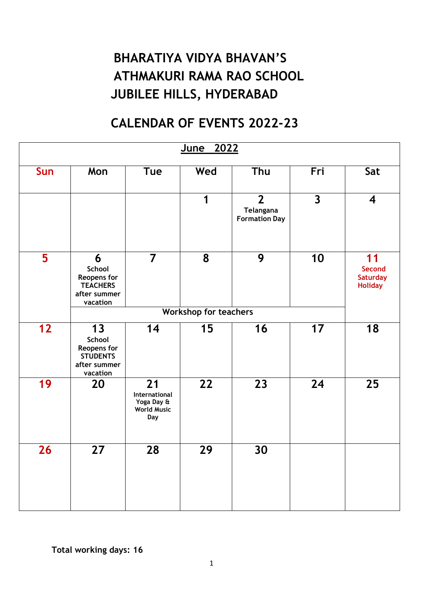## **BHARATIYA VIDYA BHAVAN'S ATHMAKURI RAMA RAO SCHOOL JUBILEE HILLS, HYDERABAD**

## **CALENDAR OF EVENTS 2022-23**

|                         | June 2022                                                                         |                                                                |                              |                                                     |                         |                                                          |
|-------------------------|-----------------------------------------------------------------------------------|----------------------------------------------------------------|------------------------------|-----------------------------------------------------|-------------------------|----------------------------------------------------------|
| Sun                     | Mon                                                                               | <b>Tue</b>                                                     | Wed                          | Thu                                                 | Fri                     | Sat                                                      |
|                         |                                                                                   |                                                                | 1                            | $\overline{2}$<br>Telangana<br><b>Formation Day</b> | $\overline{\mathbf{3}}$ | $\overline{\mathbf{4}}$                                  |
| $\overline{\mathbf{5}}$ | 6<br>School<br>Reopens for<br><b>TEACHERS</b><br>after summer<br>vacation         | $\overline{7}$                                                 | 8                            | 9                                                   | 10                      | 11<br><b>Second</b><br><b>Saturday</b><br><b>Holiday</b> |
|                         |                                                                                   |                                                                | <b>Workshop for teachers</b> |                                                     |                         |                                                          |
| 12                      | 13<br><b>School</b><br>Reopens for<br><b>STUDENTS</b><br>after summer<br>vacation | 14                                                             | 15                           | 16                                                  | 17                      | 18                                                       |
| 19                      | 20                                                                                | 21<br>International<br>Yoga Day &<br><b>World Music</b><br>Day | 22                           | 23                                                  | 24                      | 25                                                       |
| 26                      | 27                                                                                | 28                                                             | 29                           | 30                                                  |                         |                                                          |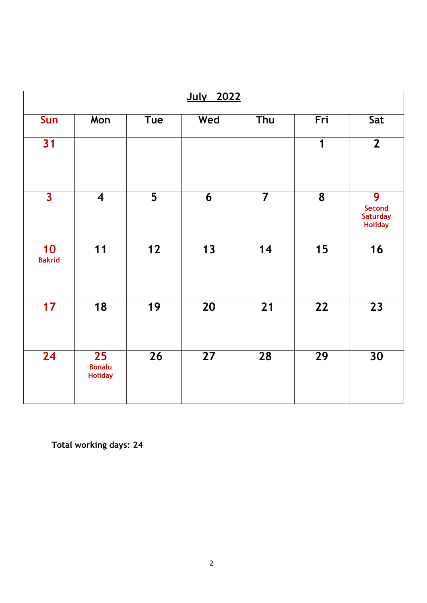|                         |                                       |                         | <b>July 2022</b> |                 |     |                                                         |
|-------------------------|---------------------------------------|-------------------------|------------------|-----------------|-----|---------------------------------------------------------|
| Sun                     | Mon                                   | <b>Tue</b>              | Wed              | Thu             | Fri | Sat                                                     |
| 31                      |                                       |                         |                  |                 | 1   | $\overline{2}$                                          |
| $\overline{\mathbf{3}}$ | $\overline{\mathbf{4}}$               | $\overline{\mathbf{5}}$ | 6                | $\overline{7}$  | 8   | 9<br><b>Second</b><br><b>Saturday</b><br><b>Holiday</b> |
| 10<br><b>Bakrid</b>     | 11                                    | 12                      | 13               | 14              | 15  | 16                                                      |
| 17                      | 18                                    | 19                      | $\overline{20}$  | $\overline{21}$ | 22  | 23                                                      |
| 24                      | 25<br><b>Bonalu</b><br><b>Holiday</b> | 26                      | 27               | 28              | 29  | 30                                                      |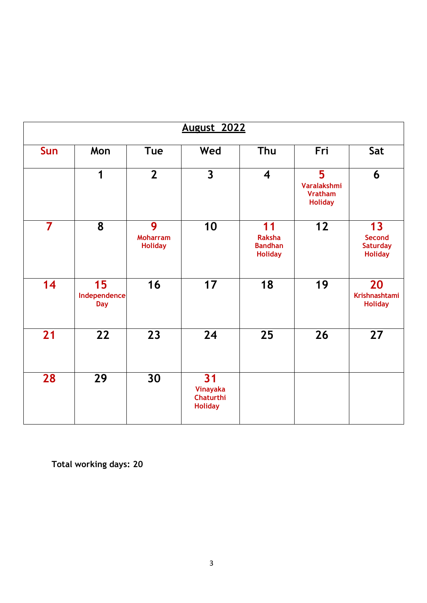|                |                                  |                                        | <b>August 2022</b>                            |                                                         |                                                      |                                                          |
|----------------|----------------------------------|----------------------------------------|-----------------------------------------------|---------------------------------------------------------|------------------------------------------------------|----------------------------------------------------------|
| <b>Sun</b>     | Mon                              | <b>Tue</b>                             | Wed                                           | Thu                                                     | Fri                                                  | Sat                                                      |
|                | 1                                | $2\overline{ }$                        | $\overline{\mathbf{3}}$                       | $\overline{\mathbf{4}}$                                 | 5<br>Varalakshmi<br><b>Vratham</b><br><b>Holiday</b> | 6                                                        |
| $\overline{7}$ | 8                                | 9<br><b>Moharram</b><br><b>Holiday</b> | 10                                            | 11<br><b>Raksha</b><br><b>Bandhan</b><br><b>Holiday</b> | 12                                                   | 13<br><b>Second</b><br><b>Saturday</b><br><b>Holiday</b> |
| 14             | 15<br>Independence<br><b>Day</b> | 16                                     | 17                                            | 18                                                      | 19                                                   | 20<br><b>Krishnashtami</b><br><b>Holiday</b>             |
| 21             | 22                               | 23                                     | 24                                            | 25                                                      | 26                                                   | 27                                                       |
| 28             | 29                               | 30                                     | 31<br>Vinayaka<br>Chaturthi<br><b>Holiday</b> |                                                         |                                                      |                                                          |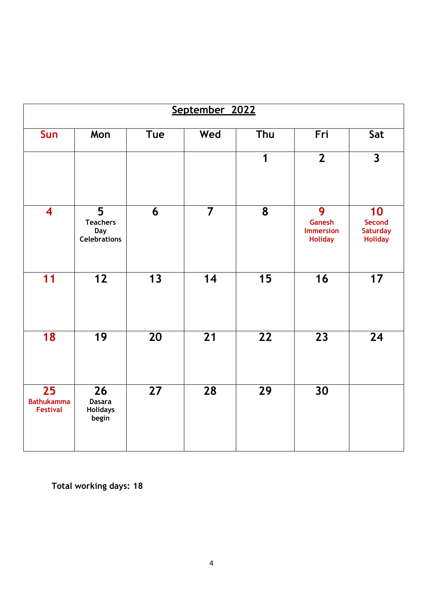|                                            |                                                           |                 | September 2022 |     |                                                          |                                                   |
|--------------------------------------------|-----------------------------------------------------------|-----------------|----------------|-----|----------------------------------------------------------|---------------------------------------------------|
| Sun                                        | Mon                                                       | <b>Tue</b>      | Wed            | Thu | Fri                                                      | Sat                                               |
|                                            |                                                           |                 |                | 1   | $\overline{2}$                                           | $\overline{\mathbf{3}}$                           |
| $\overline{\mathbf{4}}$                    | 5<br><b>Teachers</b><br><b>Day</b><br><b>Celebrations</b> | 6               | $\overline{7}$ | 8   | 9<br><b>Ganesh</b><br><b>Immersion</b><br><b>Holiday</b> | 10<br>Second<br><b>Saturday</b><br><b>Holiday</b> |
| 11                                         | $12$                                                      | 13              | 14             | 15  | 16                                                       | 17                                                |
| 18                                         | 19                                                        | 20              | 21             | 22  | 23                                                       | 24                                                |
| 25<br><b>Bathukamma</b><br><b>Festival</b> | 26<br><b>Dasara</b><br><b>Holidays</b><br>begin           | $\overline{27}$ | 28             | 29  | 30                                                       |                                                   |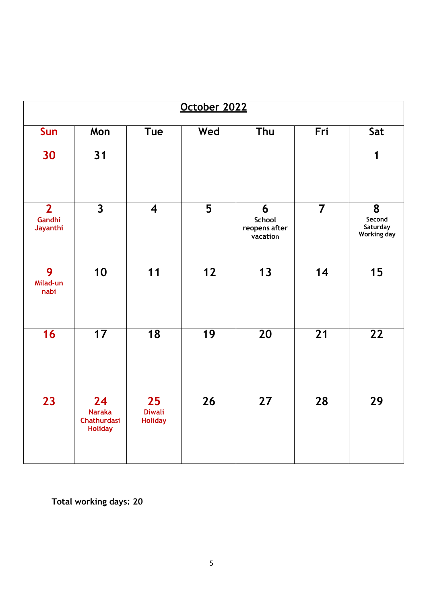|                                      | October 2022                                                             |                                                    |                 |                                          |                 |                                               |
|--------------------------------------|--------------------------------------------------------------------------|----------------------------------------------------|-----------------|------------------------------------------|-----------------|-----------------------------------------------|
| Sun                                  | Mon                                                                      | Tue                                                | Wed             | Thu                                      | Fri             | Sat                                           |
| 30                                   | $\overline{31}$                                                          |                                                    |                 |                                          |                 | $\mathbf 1$                                   |
| $\overline{2}$<br>Gandhi<br>Jayanthi | $\overline{3}$                                                           | $\overline{\mathbf{4}}$                            | $\overline{5}$  | 6<br>School<br>reopens after<br>vacation | $\overline{7}$  | 8<br>Second<br>Saturday<br><b>Working day</b> |
| 9<br>Milad-un<br>nabi                | 10                                                                       | 11                                                 | $\overline{12}$ | 13                                       | 14              | 15                                            |
| 16                                   | 17                                                                       | $\overline{18}$                                    | 19              | 20                                       | $\overline{21}$ | 22                                            |
| $\overline{23}$                      | $\overline{24}$<br><b>Naraka</b><br><b>Chathurdasi</b><br><b>Holiday</b> | $\overline{25}$<br><b>Diwali</b><br><b>Holiday</b> | $\overline{26}$ | $\overline{27}$                          | $\overline{28}$ | $\overline{29}$                               |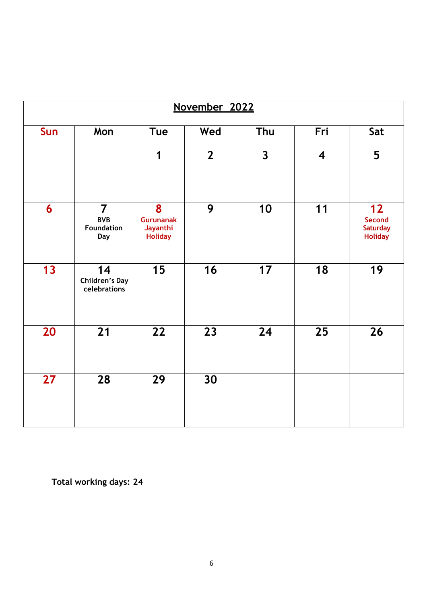|                 | November 2022                                            |                                                     |                |                         |                         |                                                   |  |
|-----------------|----------------------------------------------------------|-----------------------------------------------------|----------------|-------------------------|-------------------------|---------------------------------------------------|--|
| Sun             | Mon                                                      | Tue                                                 | Wed            | Thu                     | Fri                     | Sat                                               |  |
|                 |                                                          | 1                                                   | $\overline{2}$ | $\overline{\mathbf{3}}$ | $\overline{\mathbf{4}}$ | $\overline{\mathbf{5}}$                           |  |
| 6               | $\overline{7}$<br><b>BVB</b><br><b>Foundation</b><br>Day | 8<br><b>Gurunanak</b><br>Jayanthi<br><b>Holiday</b> | 9              | 10                      | 11                      | 12<br>Second<br><b>Saturday</b><br><b>Holiday</b> |  |
| 13              | 14<br>Children's Day<br>celebrations                     | 15                                                  | 16             | 17                      | 18                      | 19                                                |  |
| $\overline{20}$ | $\overline{21}$                                          | $\overline{22}$                                     | 23             | 24                      | 25                      | $\overline{26}$                                   |  |
| 27              | $\overline{28}$                                          | $\overline{29}$                                     | 30             |                         |                         |                                                   |  |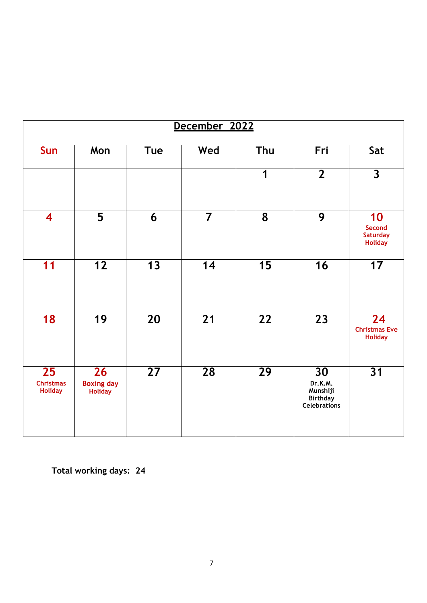|                                          | December 2022                             |                 |                 |                 |                                                                     |                                                   |  |
|------------------------------------------|-------------------------------------------|-----------------|-----------------|-----------------|---------------------------------------------------------------------|---------------------------------------------------|--|
| Sun                                      | Mon                                       | Tue             | Wed             | Thu             | Fri                                                                 | Sat                                               |  |
|                                          |                                           |                 |                 | 1               | $\overline{2}$                                                      | $\overline{\mathbf{3}}$                           |  |
| $\overline{\mathbf{4}}$                  | 5                                         | 6               | $\overline{7}$  | 8               | 9                                                                   | 10<br>Second<br><b>Saturday</b><br><b>Holiday</b> |  |
| 11                                       | 12                                        | 13              | 14              | 15              | 16                                                                  | 17                                                |  |
| 18                                       | 19                                        | 20              | 21              | 22              | 23                                                                  | 24<br><b>Christmas Eve</b><br><b>Holiday</b>      |  |
| 25<br><b>Christmas</b><br><b>Holiday</b> | 26<br><b>Boxing day</b><br><b>Holiday</b> | $\overline{27}$ | $\overline{28}$ | $\overline{29}$ | 30<br>Dr.K.M.<br>Munshiji<br><b>Birthday</b><br><b>Celebrations</b> | 31                                                |  |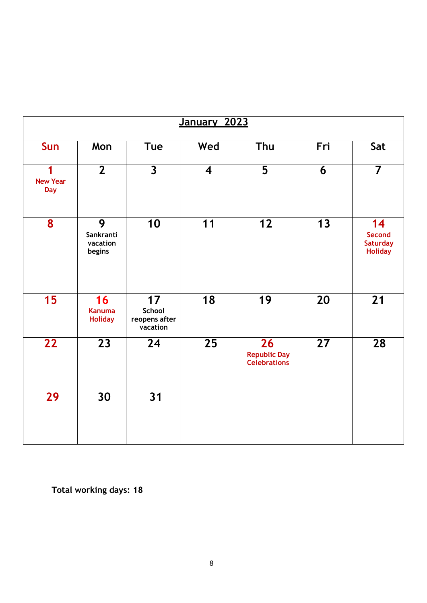|                                    | January 2023                          |                                                        |                         |                                                  |     |                                                          |  |
|------------------------------------|---------------------------------------|--------------------------------------------------------|-------------------------|--------------------------------------------------|-----|----------------------------------------------------------|--|
| Sun                                | Mon                                   | <b>Tue</b>                                             | Wed                     | Thu                                              | Fri | Sat                                                      |  |
| 1<br><b>New Year</b><br><b>Day</b> | $\overline{2}$                        | $\overline{\mathbf{3}}$                                | $\overline{\mathbf{4}}$ | 5                                                | 6   | $\overline{7}$                                           |  |
| $\overline{\mathbf{8}}$            | 9<br>Sankranti<br>vacation<br>begins  | 10                                                     | 11                      | $\overline{12}$                                  | 13  | 14<br><b>Second</b><br><b>Saturday</b><br><b>Holiday</b> |  |
| 15                                 | 16<br><b>Kanuma</b><br><b>Holiday</b> | $\overline{17}$<br>School<br>reopens after<br>vacation | $\overline{18}$         | 19                                               | 20  | $\overline{21}$                                          |  |
| 22                                 | 23                                    | 24                                                     | 25                      | 26<br><b>Republic Day</b><br><b>Celebrations</b> | 27  | 28                                                       |  |
| 29                                 | 30                                    | 31                                                     |                         |                                                  |     |                                                          |  |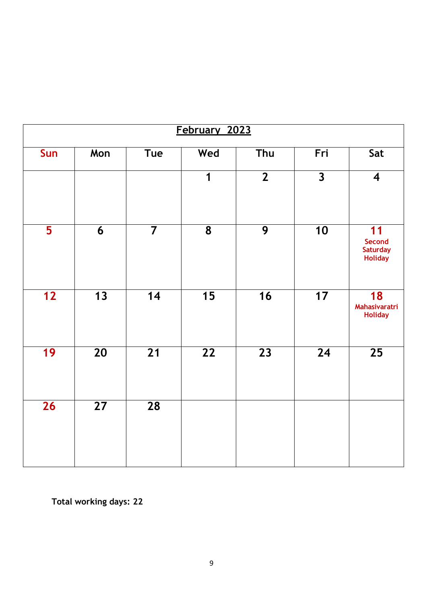|                         | February 2023   |                 |                         |                 |                 |                                                   |  |
|-------------------------|-----------------|-----------------|-------------------------|-----------------|-----------------|---------------------------------------------------|--|
| Sun                     | Mon             | <b>Tue</b>      | Wed                     | Thu             | Fri             | Sat                                               |  |
|                         |                 |                 | 1                       | $\overline{2}$  | $\mathbf{3}$    | $\overline{\mathbf{4}}$                           |  |
| $\overline{\mathbf{5}}$ | 6               | $\overline{7}$  | $\overline{\mathbf{8}}$ | $\overline{9}$  | $\overline{10}$ | 11<br><b>Second</b><br>Saturday<br><b>Holiday</b> |  |
| 12                      | $\overline{13}$ | 14              | 15                      | 16              | 17              | 18<br>Mahasivaratri<br><b>Holiday</b>             |  |
| 19                      | $\overline{2}0$ | $\overline{21}$ | $\overline{22}$         | $\overline{23}$ | $\overline{24}$ | 25                                                |  |
| 26                      | 27              | 28              |                         |                 |                 |                                                   |  |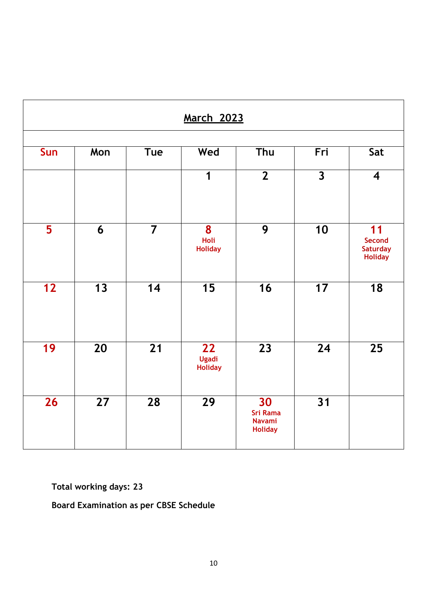|                 | <b>March 2023</b> |                 |                                      |                                                          |                         |                                                    |  |
|-----------------|-------------------|-----------------|--------------------------------------|----------------------------------------------------------|-------------------------|----------------------------------------------------|--|
| Sun             | Mon               | <b>Tue</b>      | Wed                                  | Thu                                                      | Fri                     | Sat                                                |  |
|                 |                   |                 | 1                                    | $\overline{2}$                                           | $\overline{\mathbf{3}}$ | $\overline{\mathbf{4}}$                            |  |
| 5               | 6                 | $\overline{7}$  | 8                                    | 9                                                        | 10                      | 11                                                 |  |
|                 |                   |                 | Holi<br><b>Holiday</b>               |                                                          |                         | <b>Second</b><br><b>Saturday</b><br><b>Holiday</b> |  |
| 12              | $\overline{13}$   | $\overline{14}$ | $\overline{15}$                      | 16                                                       | $\overline{17}$         | 18                                                 |  |
| 19              | 20                | 21              | 22<br><b>Ugadi</b><br><b>Holiday</b> | 23                                                       | 24                      | 25                                                 |  |
| $\overline{26}$ | $\overline{27}$   | $\overline{28}$ | $\overline{29}$                      | 30<br><b>Sri Rama</b><br><b>Navami</b><br><b>Holiday</b> | $\overline{31}$         |                                                    |  |

**Board Examination as per CBSE Schedule**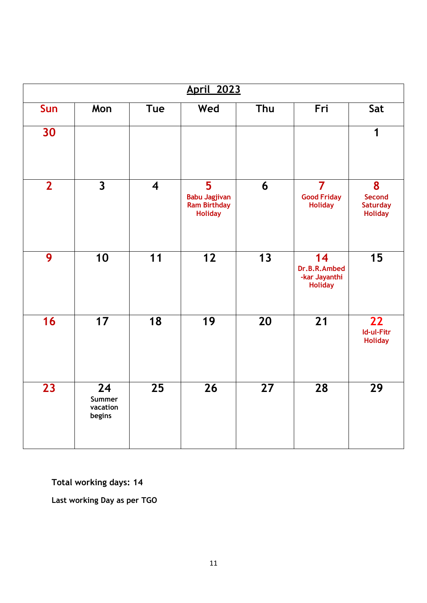|                 |                                           |                         | <b>April 2023</b>                                                  |                 |                                                                 |                                                         |
|-----------------|-------------------------------------------|-------------------------|--------------------------------------------------------------------|-----------------|-----------------------------------------------------------------|---------------------------------------------------------|
| Sun             | Mon                                       | <b>Tue</b>              | Wed                                                                | Thu             | Fri                                                             | Sat                                                     |
| 30              |                                           |                         |                                                                    |                 |                                                                 | 1                                                       |
| $\overline{2}$  | $\overline{\mathbf{3}}$                   | $\overline{\mathbf{4}}$ | 5<br><b>Babu Jagjivan</b><br><b>Ram Birthday</b><br><b>Holiday</b> | 6               | $\overline{\mathbf{7}}$<br><b>Good Friday</b><br><b>Holiday</b> | 8<br><b>Second</b><br><b>Saturday</b><br><b>Holiday</b> |
| 9               | 10                                        | $\overline{11}$         | $\overline{12}$                                                    | $\overline{13}$ | 14<br>Dr.B.R.Ambed<br>-kar Jayanthi<br><b>Holiday</b>           | 15                                                      |
| 16              | 17                                        | $\overline{18}$         | 19                                                                 | 20              | $\overline{21}$                                                 | 22<br>Id-ul-Fitr<br><b>Holiday</b>                      |
| $\overline{23}$ | 24<br><b>Summer</b><br>vacation<br>begins | $\overline{25}$         | $\overline{26}$                                                    | $\overline{27}$ | $\overline{28}$                                                 | 29                                                      |

**Last working Day as per TGO**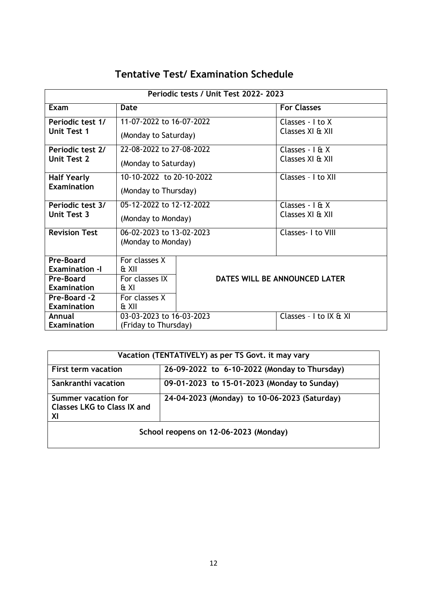## **Tentative Test/ Examination Schedule**

|                       |                          | Periodic tests / Unit Test 2022-2023 |                               |
|-----------------------|--------------------------|--------------------------------------|-------------------------------|
| Exam                  | <b>Date</b>              |                                      | <b>For Classes</b>            |
| Periodic test 1/      | 11-07-2022 to 16-07-2022 |                                      | Classes - I to X              |
| <b>Unit Test 1</b>    | (Monday to Saturday)     |                                      | Classes XI & XII              |
| Periodic test 2/      | 22-08-2022 to 27-08-2022 |                                      | Classes - $1$ & X             |
| Unit Test 2           | (Monday to Saturday)     |                                      | Classes XI & XII              |
| <b>Half Yearly</b>    | 10-10-2022 to 20-10-2022 |                                      | Classes - I to XII            |
| Examination           | (Monday to Thursday)     |                                      |                               |
| Periodic test 3/      | 05-12-2022 to 12-12-2022 |                                      | Classes - $1 \& X$            |
| <b>Unit Test 3</b>    | (Monday to Monday)       |                                      | Classes XI & XII              |
| <b>Revision Test</b>  | 06-02-2023 to 13-02-2023 |                                      | Classes- I to VIII            |
|                       | (Monday to Monday)       |                                      |                               |
| Pre-Board             | For classes X            |                                      |                               |
| <b>Examination -I</b> | & XII                    |                                      |                               |
| Pre-Board             | For classes IX           |                                      | DATES WILL BE ANNOUNCED LATER |
| <b>Examination</b>    | & XI                     |                                      |                               |
| Pre-Board -2          | For classes X            |                                      |                               |
| <b>Examination</b>    | & XII                    |                                      |                               |
| Annual                | 03-03-2023 to 16-03-2023 |                                      | Classes - I to IX & XI        |
| <b>Examination</b>    | (Friday to Thursday)     |                                      |                               |

| Vacation (TENTATIVELY) as per TS Govt. it may vary              |                                              |  |  |  |
|-----------------------------------------------------------------|----------------------------------------------|--|--|--|
| <b>First term vacation</b>                                      | 26-09-2022 to 6-10-2022 (Monday to Thursday) |  |  |  |
| Sankranthi vacation                                             | 09-01-2023 to 15-01-2023 (Monday to Sunday)  |  |  |  |
| Summer vacation for<br><b>Classes LKG to Class IX and</b><br>ΧI | 24-04-2023 (Monday) to 10-06-2023 (Saturday) |  |  |  |
| School reopens on 12-06-2023 (Monday)                           |                                              |  |  |  |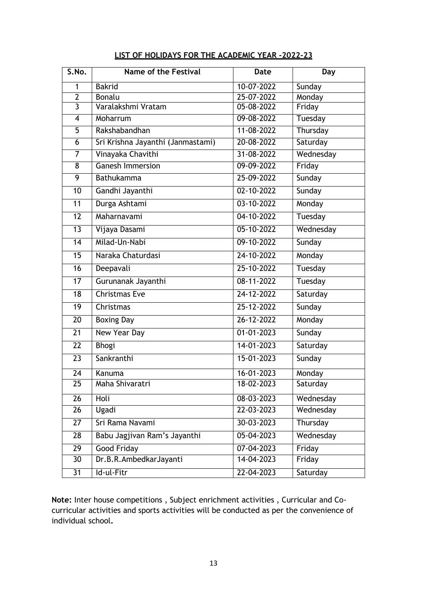| S.No.                   | <b>Name of the Festival</b>       | <b>Date</b>      | <b>Day</b> |
|-------------------------|-----------------------------------|------------------|------------|
| 1                       | <b>Bakrid</b>                     | 10-07-2022       | Sunday     |
| $\overline{2}$          | Bonalu                            | 25-07-2022       | Monday     |
| $\overline{\mathbf{3}}$ | Varalakshmi Vratam                | 05-08-2022       | Friday     |
| $\overline{4}$          | Moharrum                          | 09-08-2022       | Tuesday    |
| $\overline{5}$          | Rakshabandhan                     | 11-08-2022       | Thursday   |
| $\overline{6}$          | Sri Krishna Jayanthi (Janmastami) | 20-08-2022       | Saturday   |
| $\overline{7}$          | Vinayaka Chavithi                 | 31-08-2022       | Wednesday  |
| 8                       | <b>Ganesh Immersion</b>           | 09-09-2022       | Friday     |
| $\overline{9}$          | <b>Bathukamma</b>                 | 25-09-2022       | Sunday     |
| 10                      | Gandhi Jayanthi                   | 02-10-2022       | Sunday     |
| 11                      | Durga Ashtami                     | 03-10-2022       | Monday     |
| 12                      | Maharnavami                       | 04-10-2022       | Tuesday    |
| $\overline{13}$         | Vijaya Dasami                     | 05-10-2022       | Wednesday  |
| 14                      | Milad-Un-Nabi                     | 09-10-2022       | Sunday     |
| $\overline{15}$         | Naraka Chaturdasi                 | 24-10-2022       | Monday     |
| 16                      | Deepavali                         | 25-10-2022       | Tuesday    |
| $\overline{17}$         | Gurunanak Jayanthi                | 08-11-2022       | Tuesday    |
| $\overline{18}$         | <b>Christmas Eve</b>              | 24-12-2022       | Saturday   |
| $\overline{19}$         | Christmas                         | 25-12-2022       | Sunday     |
| 20                      | <b>Boxing Day</b>                 | 26-12-2022       | Monday     |
| $\overline{21}$         | <b>New Year Day</b>               | $01 - 01 - 2023$ | Sunday     |
| $\overline{22}$         | <b>Bhogi</b>                      | 14-01-2023       | Saturday   |
| $\overline{23}$         | Sankranthi                        | 15-01-2023       | Sunday     |
| $\overline{24}$         | Kanuma                            | $16 - 01 - 2023$ | Monday     |
| 25                      | Maha Shivaratri                   | 18-02-2023       | Saturday   |
| 26                      | Holi                              | 08-03-2023       | Wednesday  |
| 26                      | Ugadi                             | 22-03-2023       | Wednesday  |
| 27                      | Sri Rama Navami                   | 30-03-2023       | Thursday   |
| 28                      | Babu Jagjivan Ram's Jayanthi      | 05-04-2023       | Wednesday  |
| 29                      | Good Friday                       | 07-04-2023       | Friday     |
| 30                      | Dr.B.R.AmbedkarJayanti            | 14-04-2023       | Friday     |
| $\overline{31}$         | Id-ul-Fitr                        | 22-04-2023       | Saturday   |

## **LIST OF HOLIDAYS FOR THE ACADEMIC YEAR -2022-23**

**Note:** Inter house competitions , Subject enrichment activities , Curricular and Cocurricular activities and sports activities will be conducted as per the convenience of individual school**.**